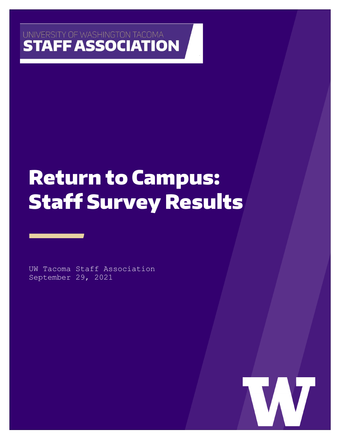## UNIVERSITY OF WASHINGTON TACOMA **STAFF ASSOCIATION**

# Return to Campus: Staff Survey Results

UW Tacoma Staff Association September 29, 2021

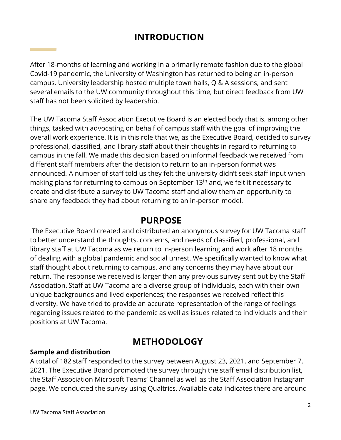## **INTRODUCTION**

After 18-months of learning and working in a primarily remote fashion due to the global Covid-19 pandemic, the University of Washington has returned to being an in-person campus. University leadership hosted multiple town halls, Q & A sessions, and sent several emails to the UW community throughout this time, but direct feedback from UW staff has not been solicited by leadership.

The UW Tacoma Staff Association Executive Board is an elected body that is, among other things, tasked with advocating on behalf of campus staff with the goal of improving the overall work experience. It is in this role that we, as the Executive Board, decided to survey professional, classified, and library staff about their thoughts in regard to returning to campus in the fall. We made this decision based on informal feedback we received from different staff members after the decision to return to an in-person format was announced. A number of staff told us they felt the university didn't seek staff input when making plans for returning to campus on September 13<sup>th</sup> and, we felt it necessary to create and distribute a survey to UW Tacoma staff and allow them an opportunity to share any feedback they had about returning to an in-person model.

### **PURPOSE**

The Executive Board created and distributed an anonymous survey for UW Tacoma staff to better understand the thoughts, concerns, and needs of classified, professional, and library staff at UW Tacoma as we return to in-person learning and work after 18 months of dealing with a global pandemic and social unrest. We specifically wanted to know what staff thought about returning to campus, and any concerns they may have about our return. The response we received is larger than any previous survey sent out by the Staff Association. Staff at UW Tacoma are a diverse group of individuals, each with their own unique backgrounds and lived experiences; the responses we received reflect this diversity. We have tried to provide an accurate representation of the range of feelings regarding issues related to the pandemic as well as issues related to individuals and their positions at UW Tacoma.

## **METHODOLOGY**

#### **Sample and distribution**

A total of 182 staff responded to the survey between August 23, 2021, and September 7, 2021. The Executive Board promoted the survey through the staff email distribution list, the Staff Association Microsoft Teams' Channel as well as the Staff Association Instagram page. We conducted the survey using Qualtrics. Available data indicates there are around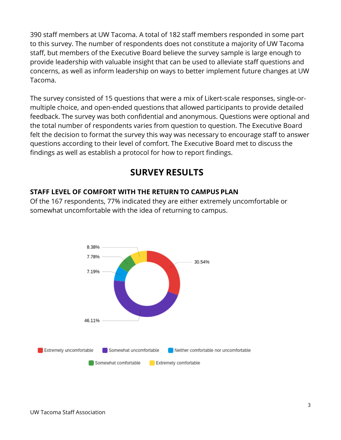390 staff members at UW Tacoma. A total of 182 staff members responded in some part to this survey. The number of respondents does not constitute a majority of UW Tacoma staff, but members of the Executive Board believe the survey sample is large enough to provide leadership with valuable insight that can be used to alleviate staff questions and concerns, as well as inform leadership on ways to better implement future changes at UW Tacoma.

The survey consisted of 15 questions that were a mix of Likert-scale responses, single-ormultiple choice, and open-ended questions that allowed participants to provide detailed feedback. The survey was both confidential and anonymous. Questions were optional and the total number of respondents varies from question to question. The Executive Board felt the decision to format the survey this way was necessary to encourage staff to answer questions according to their level of comfort. The Executive Board met to discuss the findings as well as establish a protocol for how to report findings.

## **SURVEY RESULTS**

#### **STAFF LEVEL OF COMFORT WITH THE RETURN TO CAMPUS PLAN**

Of the 167 respondents, 77% indicated they are either extremely uncomfortable or somewhat uncomfortable with the idea of returning to campus.

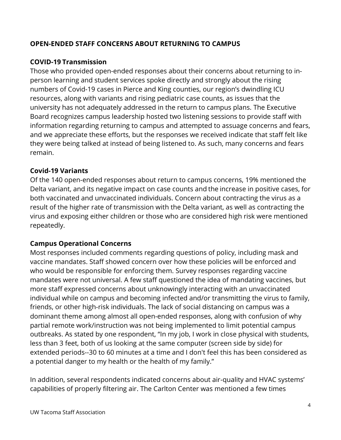#### **OPEN-ENDED STAFF CONCERNS ABOUT RETURNING TO CAMPUS**

#### **COVID-19 Transmission**

Those who provided open-ended responses about their concerns about returning to inperson learning and student services spoke directly and strongly about the rising numbers of Covid-19 cases in Pierce and King counties, our region's dwindling ICU resources, along with variants and rising pediatric case counts, as issues that the university has not adequately addressed in the return to campus plans. The Executive Board recognizes campus leadership hosted two listening sessions to provide staff with information regarding returning to campus and attempted to assuage concerns and fears, and we appreciate these efforts, but the responses we received indicate that staff felt like they were being talked at instead of being listened to. As such, many concerns and fears remain.

#### **Covid-19 Variants**

Of the 140 open-ended responses about return to campus concerns, 19% mentioned the Delta variant, and its negative impact on case counts and the increase in positive cases, for both vaccinated and unvaccinated individuals. Concern about contracting the virus as a result of the higher rate of transmission with the Delta variant, as well as contracting the virus and exposing either children or those who are considered high risk were mentioned repeatedly.

#### **Campus Operational Concerns**

Most responses included comments regarding questions of policy, including mask and vaccine mandates. Staff showed concern over how these policies will be enforced and who would be responsible for enforcing them. Survey responses regarding vaccine mandates were not universal. A few staff questioned the idea of mandating vaccines, but more staff expressed concerns about unknowingly interacting with an unvaccinated individual while on campus and becoming infected and/or transmitting the virus to family, friends, or other high-risk individuals. The lack of social distancing on campus was a dominant theme among almost all open-ended responses, along with confusion of why partial remote work/instruction was not being implemented to limit potential campus outbreaks. As stated by one respondent, "In my job, I work in close physical with students, less than 3 feet, both of us looking at the same computer (screen side by side) for extended periods--30 to 60 minutes at a time and I don't feel this has been considered as a potential danger to my health or the health of my family."

In addition, several respondents indicated concerns about air-quality and HVAC systems' capabilities of properly filtering air. The Carlton Center was mentioned a few times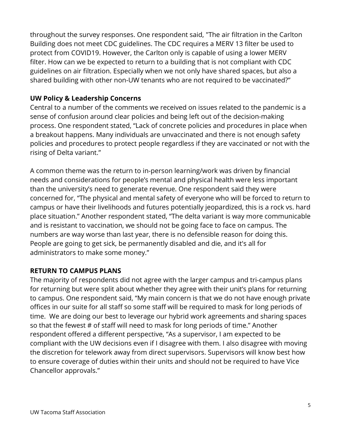throughout the survey responses. One respondent said, "The air filtration in the Carlton Building does not meet CDC guidelines. The CDC requires a MERV 13 filter be used to protect from COVID19. However, the Carlton only is capable of using a lower MERV filter. How can we be expected to return to a building that is not compliant with CDC guidelines on air filtration. Especially when we not only have shared spaces, but also a shared building with other non-UW tenants who are not required to be vaccinated?"

#### **UW Policy & Leadership Concerns**

Central to a number of the comments we received on issues related to the pandemic is a sense of confusion around clear policies and being left out of the decision-making process. One respondent stated, "Lack of concrete policies and procedures in place when a breakout happens. Many individuals are unvaccinated and there is not enough safety policies and procedures to protect people regardless if they are vaccinated or not with the rising of Delta variant."

A common theme was the return to in-person learning/work was driven by financial needs and considerations for people's mental and physical health were less important than the university's need to generate revenue. One respondent said they were concerned for, "The physical and mental safety of everyone who will be forced to return to campus or have their livelihoods and futures potentially jeopardized, this is a rock vs. hard place situation." Another respondent stated, "The delta variant is way more communicable and is resistant to vaccination, we should not be going face to face on campus. The numbers are way worse than last year, there is no defensible reason for doing this. People are going to get sick, be permanently disabled and die, and it's all for administrators to make some money."

#### **RETURN TO CAMPUS PLANS**

The majority of respondents did not agree with the larger campus and tri-campus plans for returning but were split about whether they agree with their unit's plans for returning to campus. One respondent said, "My main concern is that we do not have enough private offices in our suite for all staff so some staff will be required to mask for long periods of time. We are doing our best to leverage our hybrid work agreements and sharing spaces so that the fewest # of staff will need to mask for long periods of time." Another respondent offered a different perspective, "As a supervisor, I am expected to be compliant with the UW decisions even if I disagree with them. I also disagree with moving the discretion for telework away from direct supervisors. Supervisors will know best how to ensure coverage of duties within their units and should not be required to have Vice Chancellor approvals."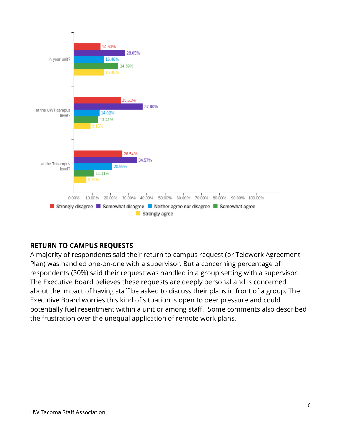

#### **RETURN TO CAMPUS REQUESTS**

A majority of respondents said their return to campus request (or Telework Agreement Plan) was handled one-on-one with a supervisor. But a concerning percentage of respondents (30%) said their request was handled in a group setting with a supervisor. The Executive Board believes these requests are deeply personal and is concerned about the impact of having staff be asked to discuss their plans in front of a group. The Executive Board worries this kind of situation is open to peer pressure and could potentially fuel resentment within a unit or among staff. Some comments also described the frustration over the unequal application of remote work plans.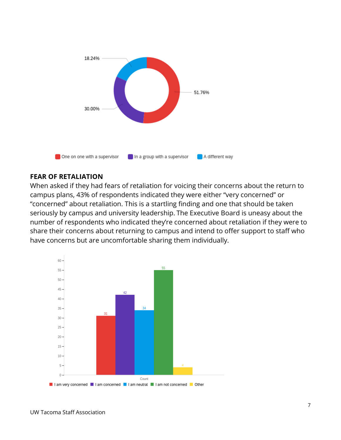

#### **FEAR OF RETALIATION**

When asked if they had fears of retaliation for voicing their concerns about the return to campus plans, 43% of respondents indicated they were either "very concerned" or "concerned" about retaliation. This is a startling finding and one that should be taken seriously by campus and university leadership. The Executive Board is uneasy about the number of respondents who indicated they're concerned about retaliation if they were to share their concerns about returning to campus and intend to offer support to staff who have concerns but are uncomfortable sharing them individually.

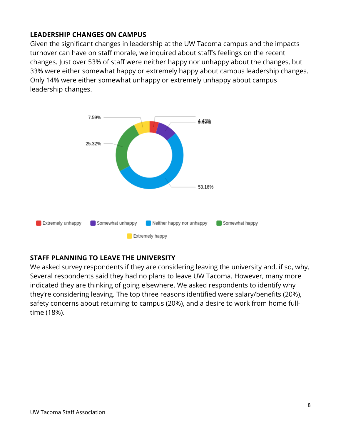#### **LEADERSHIP CHANGES ON CAMPUS**

Given the significant changes in leadership at the UW Tacoma campus and the impacts turnover can have on staff morale, we inquired about staff's feelings on the recent changes. Just over 53% of staff were neither happy nor unhappy about the changes, but 33% were either somewhat happy or extremely happy about campus leadership changes. Only 14% were either somewhat unhappy or extremely unhappy about campus leadership changes.



#### **STAFF PLANNING TO LEAVE THE UNIVERSITY**

We asked survey respondents if they are considering leaving the university and, if so, why. Several respondents said they had no plans to leave UW Tacoma. However, many more indicated they are thinking of going elsewhere. We asked respondents to identify why they're considering leaving. The top three reasons identified were salary/benefits (20%), safety concerns about returning to campus (20%), and a desire to work from home fulltime (18%).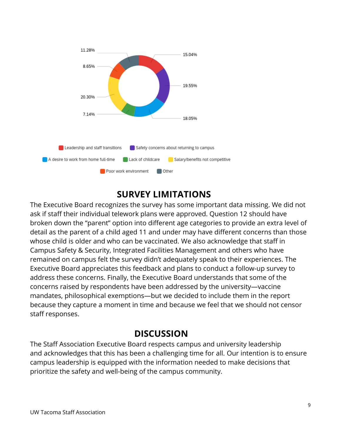

## **SURVEY LIMITATIONS**

The Executive Board recognizes the survey has some important data missing. We did not ask if staff their individual telework plans were approved. Question 12 should have broken down the "parent" option into different age categories to provide an extra level of detail as the parent of a child aged 11 and under may have different concerns than those whose child is older and who can be vaccinated. We also acknowledge that staff in Campus Safety & Security, Integrated Facilities Management and others who have remained on campus felt the survey didn't adequately speak to their experiences. The Executive Board appreciates this feedback and plans to conduct a follow-up survey to address these concerns. Finally, the Executive Board understands that some of the concerns raised by respondents have been addressed by the university—vaccine mandates, philosophical exemptions—but we decided to include them in the report because they capture a moment in time and because we feel that we should not censor staff responses.

## **DISCUSSION**

The Staff Association Executive Board respects campus and university leadership and acknowledges that this has been a challenging time for all. Our intention is to ensure campus leadership is equipped with the information needed to make decisions that prioritize the safety and well-being of the campus community.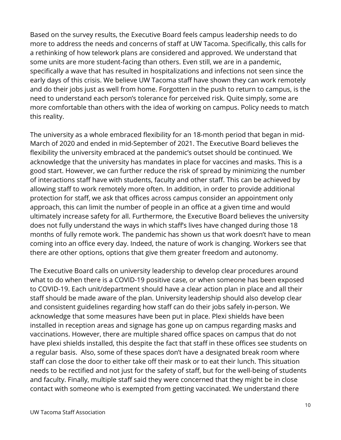Based on the survey results, the Executive Board feels campus leadership needs to do more to address the needs and concerns of staff at UW Tacoma. Specifically, this calls for a rethinking of how telework plans are considered and approved. We understand that some units are more student-facing than others. Even still, we are in a pandemic, specifically a wave that has resulted in hospitalizations and infections not seen since the early days of this crisis. We believe UW Tacoma staff have shown they can work remotely and do their jobs just as well from home. Forgotten in the push to return to campus, is the need to understand each person's tolerance for perceived risk. Quite simply, some are more comfortable than others with the idea of working on campus. Policy needs to match this reality.

The university as a whole embraced flexibility for an 18-month period that began in mid-March of 2020 and ended in mid-September of 2021. The Executive Board believes the flexibility the university embraced at the pandemic's outset should be continued. We acknowledge that the university has mandates in place for vaccines and masks. This is a good start. However, we can further reduce the risk of spread by minimizing the number of interactions staff have with students, faculty and other staff. This can be achieved by allowing staff to work remotely more often. In addition, in order to provide additional protection for staff, we ask that offices across campus consider an appointment only approach, this can limit the number of people in an office at a given time and would ultimately increase safety for all. Furthermore, the Executive Board believes the university does not fully understand the ways in which staff's lives have changed during those 18 months of fully remote work. The pandemic has shown us that work doesn't have to mean coming into an office every day. Indeed, the nature of work is changing. Workers see that there are other options, options that give them greater freedom and autonomy.

The Executive Board calls on university leadership to develop clear procedures around what to do when there is a COVID-19 positive case, or when someone has been exposed to COVID-19. Each unit/department should have a clear action plan in place and all their staff should be made aware of the plan. University leadership should also develop clear and consistent guidelines regarding how staff can do their jobs safely in-person. We acknowledge that some measures have been put in place. Plexi shields have been installed in reception areas and signage has gone up on campus regarding masks and vaccinations. However, there are multiple shared office spaces on campus that do not have plexi shields installed, this despite the fact that staff in these offices see students on a regular basis. Also, some of these spaces don't have a designated break room where staff can close the door to either take off their mask or to eat their lunch. This situation needs to be rectified and not just for the safety of staff, but for the well-being of students and faculty. Finally, multiple staff said they were concerned that they might be in close contact with someone who is exempted from getting vaccinated. We understand there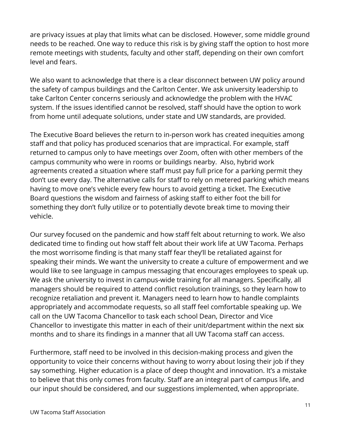are privacy issues at play that limits what can be disclosed. However, some middle ground needs to be reached. One way to reduce this risk is by giving staff the option to host more remote meetings with students, faculty and other staff, depending on their own comfort level and fears.

We also want to acknowledge that there is a clear disconnect between UW policy around the safety of campus buildings and the Carlton Center. We ask university leadership to take Carlton Center concerns seriously and acknowledge the problem with the HVAC system. If the issues identified cannot be resolved, staff should have the option to work from home until adequate solutions, under state and UW standards, are provided.

The Executive Board believes the return to in-person work has created inequities among staff and that policy has produced scenarios that are impractical. For example, staff returned to campus only to have meetings over Zoom, often with other members of the campus community who were in rooms or buildings nearby. Also, hybrid work agreements created a situation where staff must pay full price for a parking permit they don't use every day. The alternative calls for staff to rely on metered parking which means having to move one's vehicle every few hours to avoid getting a ticket. The Executive Board questions the wisdom and fairness of asking staff to either foot the bill for something they don't fully utilize or to potentially devote break time to moving their vehicle.

Our survey focused on the pandemic and how staff felt about returning to work. We also dedicated time to finding out how staff felt about their work life at UW Tacoma. Perhaps the most worrisome finding is that many staff fear they'll be retaliated against for speaking their minds. We want the university to create a culture of empowerment and we would like to see language in campus messaging that encourages employees to speak up. We ask the university to invest in campus-wide training for all managers. Specifically, all managers should be required to attend conflict resolution trainings, so they learn how to recognize retaliation and prevent it. Managers need to learn how to handle complaints appropriately and accommodate requests, so all staff feel comfortable speaking up. We call on the UW Tacoma Chancellor to task each school Dean, Director and Vice Chancellor to investigate this matter in each of their unit/department within the next six months and to share its findings in a manner that all UW Tacoma staff can access.

Furthermore, staff need to be involved in this decision-making process and given the opportunity to voice their concerns without having to worry about losing their job if they say something. Higher education is a place of deep thought and innovation. It's a mistake to believe that this only comes from faculty. Staff are an integral part of campus life, and our input should be considered, and our suggestions implemented, when appropriate.